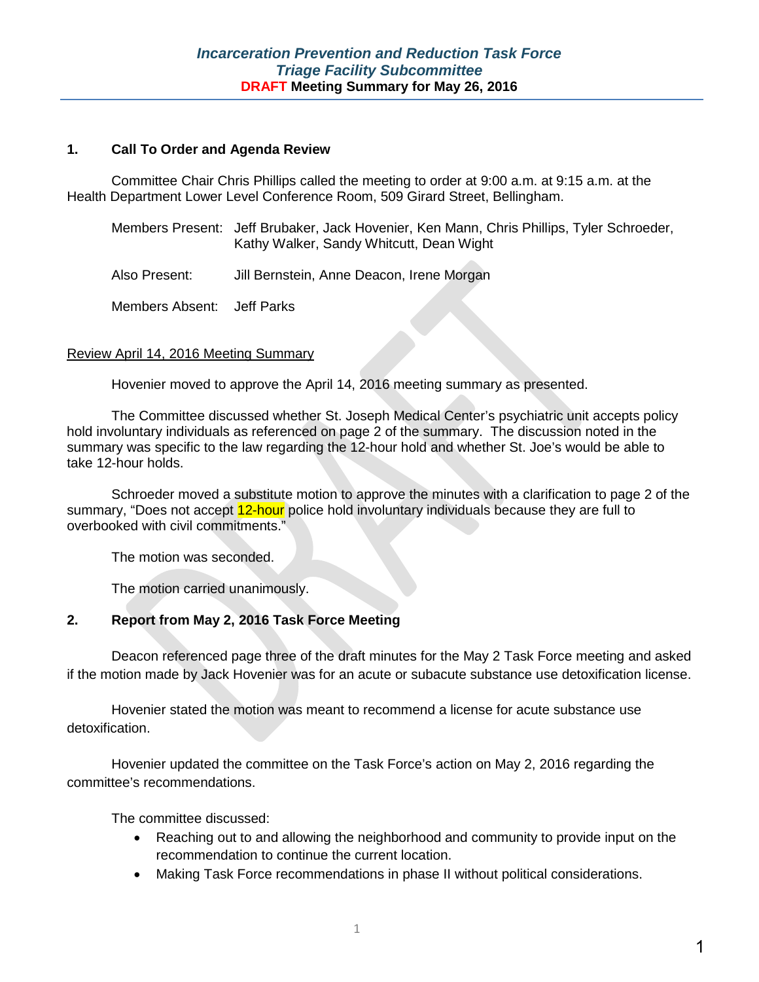#### **1. Call To Order and Agenda Review**

Committee Chair Chris Phillips called the meeting to order at 9:00 a.m. at 9:15 a.m. at the Health Department Lower Level Conference Room, 509 Girard Street, Bellingham.

| Members Present: Jeff Brubaker, Jack Hovenier, Ken Mann, Chris Phillips, Tyler Schroeder, |
|-------------------------------------------------------------------------------------------|
| Kathy Walker, Sandy Whitcutt, Dean Wight                                                  |

Also Present: Jill Bernstein, Anne Deacon, Irene Morgan

Members Absent: Jeff Parks

#### Review April 14, 2016 Meeting Summary

Hovenier moved to approve the April 14, 2016 meeting summary as presented.

The Committee discussed whether St. Joseph Medical Center's psychiatric unit accepts policy hold involuntary individuals as referenced on page 2 of the summary. The discussion noted in the summary was specific to the law regarding the 12-hour hold and whether St. Joe's would be able to take 12-hour holds.

Schroeder moved a substitute motion to approve the minutes with a clarification to page 2 of the summary, "Does not accept 12-hour police hold involuntary individuals because they are full to overbooked with civil commitments."

The motion was seconded.

The motion carried unanimously.

#### **2. Report from May 2, 2016 Task Force Meeting**

Deacon referenced page three of the draft minutes for the May 2 Task Force meeting and asked if the motion made by Jack Hovenier was for an acute or subacute substance use detoxification license.

Hovenier stated the motion was meant to recommend a license for acute substance use detoxification.

Hovenier updated the committee on the Task Force's action on May 2, 2016 regarding the committee's recommendations.

The committee discussed:

- Reaching out to and allowing the neighborhood and community to provide input on the recommendation to continue the current location.
- Making Task Force recommendations in phase II without political considerations.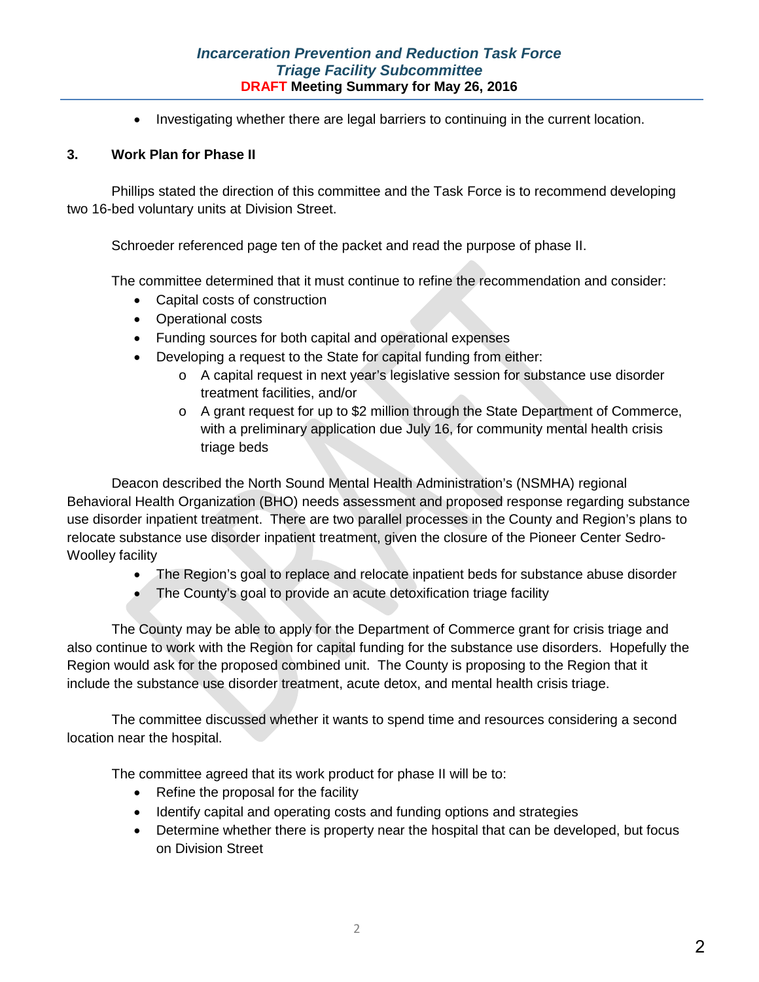### *Incarceration Prevention and Reduction Task Force Triage Facility Subcommittee* **DRAFT Meeting Summary for May 26, 2016**

• Investigating whether there are legal barriers to continuing in the current location.

#### **3. Work Plan for Phase II**

Phillips stated the direction of this committee and the Task Force is to recommend developing two 16-bed voluntary units at Division Street.

Schroeder referenced page ten of the packet and read the purpose of phase II.

The committee determined that it must continue to refine the recommendation and consider:

- Capital costs of construction
- Operational costs
- Funding sources for both capital and operational expenses
- Developing a request to the State for capital funding from either:
	- o A capital request in next year's legislative session for substance use disorder treatment facilities, and/or
	- o A grant request for up to \$2 million through the State Department of Commerce, with a preliminary application due July 16, for community mental health crisis triage beds

Deacon described the North Sound Mental Health Administration's (NSMHA) regional Behavioral Health Organization (BHO) needs assessment and proposed response regarding substance use disorder inpatient treatment. There are two parallel processes in the County and Region's plans to relocate substance use disorder inpatient treatment, given the closure of the Pioneer Center Sedro-Woolley facility

- The Region's goal to replace and relocate inpatient beds for substance abuse disorder
- The County's goal to provide an acute detoxification triage facility

The County may be able to apply for the Department of Commerce grant for crisis triage and also continue to work with the Region for capital funding for the substance use disorders. Hopefully the Region would ask for the proposed combined unit. The County is proposing to the Region that it include the substance use disorder treatment, acute detox, and mental health crisis triage.

The committee discussed whether it wants to spend time and resources considering a second location near the hospital.

The committee agreed that its work product for phase II will be to:

- Refine the proposal for the facility
- Identify capital and operating costs and funding options and strategies
- Determine whether there is property near the hospital that can be developed, but focus on Division Street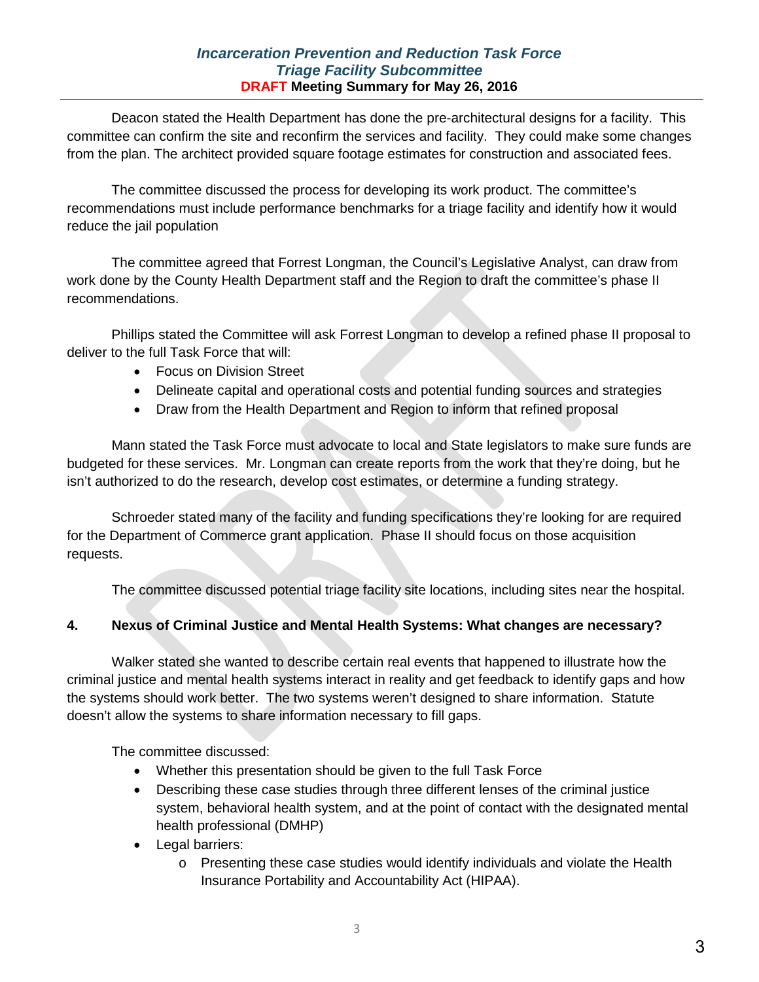### *Incarceration Prevention and Reduction Task Force Triage Facility Subcommittee* **DRAFT Meeting Summary for May 26, 2016**

Deacon stated the Health Department has done the pre-architectural designs for a facility. This committee can confirm the site and reconfirm the services and facility. They could make some changes from the plan. The architect provided square footage estimates for construction and associated fees.

The committee discussed the process for developing its work product. The committee's recommendations must include performance benchmarks for a triage facility and identify how it would reduce the jail population

The committee agreed that Forrest Longman, the Council's Legislative Analyst, can draw from work done by the County Health Department staff and the Region to draft the committee's phase II recommendations.

Phillips stated the Committee will ask Forrest Longman to develop a refined phase II proposal to deliver to the full Task Force that will:

- Focus on Division Street
- Delineate capital and operational costs and potential funding sources and strategies
- Draw from the Health Department and Region to inform that refined proposal

Mann stated the Task Force must advocate to local and State legislators to make sure funds are budgeted for these services. Mr. Longman can create reports from the work that they're doing, but he isn't authorized to do the research, develop cost estimates, or determine a funding strategy.

Schroeder stated many of the facility and funding specifications they're looking for are required for the Department of Commerce grant application. Phase II should focus on those acquisition requests.

The committee discussed potential triage facility site locations, including sites near the hospital.

### **4. Nexus of Criminal Justice and Mental Health Systems: What changes are necessary?**

Walker stated she wanted to describe certain real events that happened to illustrate how the criminal justice and mental health systems interact in reality and get feedback to identify gaps and how the systems should work better. The two systems weren't designed to share information. Statute doesn't allow the systems to share information necessary to fill gaps.

The committee discussed:

- Whether this presentation should be given to the full Task Force
- Describing these case studies through three different lenses of the criminal justice system, behavioral health system, and at the point of contact with the designated mental health professional (DMHP)
- Legal barriers:
	- o Presenting these case studies would identify individuals and violate the Health Insurance Portability and Accountability Act (HIPAA).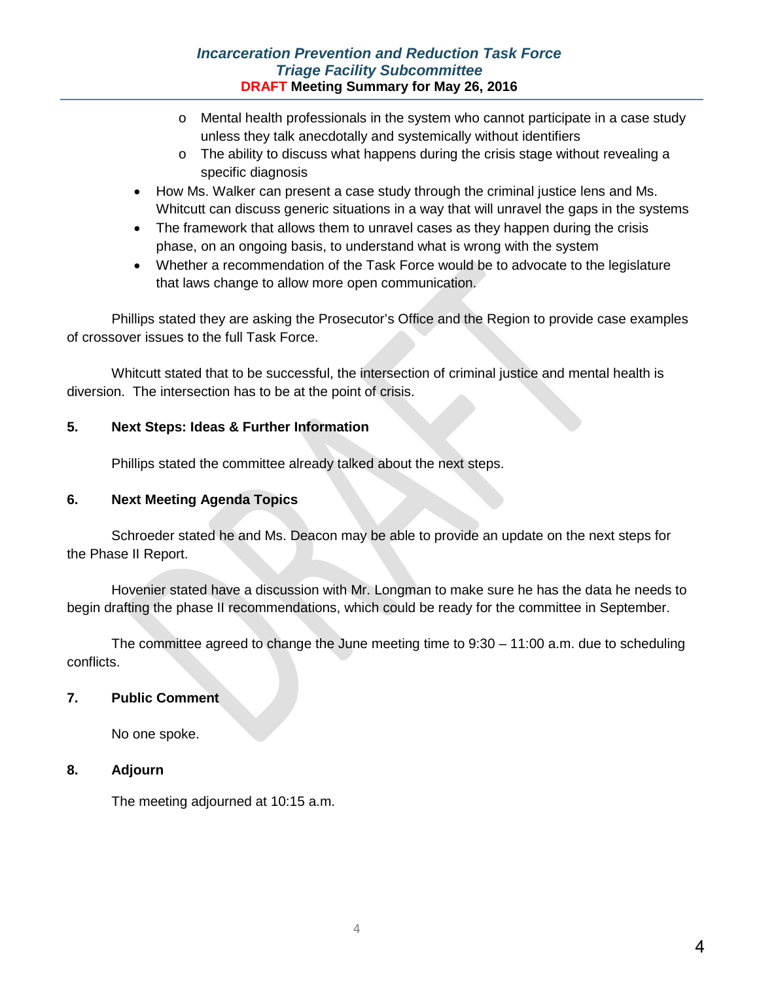### *Incarceration Prevention and Reduction Task Force Triage Facility Subcommittee* **DRAFT Meeting Summary for May 26, 2016**

- $\circ$  Mental health professionals in the system who cannot participate in a case study unless they talk anecdotally and systemically without identifiers
- $\circ$  The ability to discuss what happens during the crisis stage without revealing a specific diagnosis
- How Ms. Walker can present a case study through the criminal justice lens and Ms. Whitcutt can discuss generic situations in a way that will unravel the gaps in the systems
- The framework that allows them to unravel cases as they happen during the crisis phase, on an ongoing basis, to understand what is wrong with the system
- Whether a recommendation of the Task Force would be to advocate to the legislature that laws change to allow more open communication.

Phillips stated they are asking the Prosecutor's Office and the Region to provide case examples of crossover issues to the full Task Force.

Whitcutt stated that to be successful, the intersection of criminal justice and mental health is diversion. The intersection has to be at the point of crisis.

## **5. Next Steps: Ideas & Further Information**

Phillips stated the committee already talked about the next steps.

### **6. Next Meeting Agenda Topics**

Schroeder stated he and Ms. Deacon may be able to provide an update on the next steps for the Phase II Report.

Hovenier stated have a discussion with Mr. Longman to make sure he has the data he needs to begin drafting the phase II recommendations, which could be ready for the committee in September.

The committee agreed to change the June meeting time to 9:30 – 11:00 a.m. due to scheduling conflicts.

### **7. Public Comment**

No one spoke.

### **8. Adjourn**

The meeting adjourned at 10:15 a.m.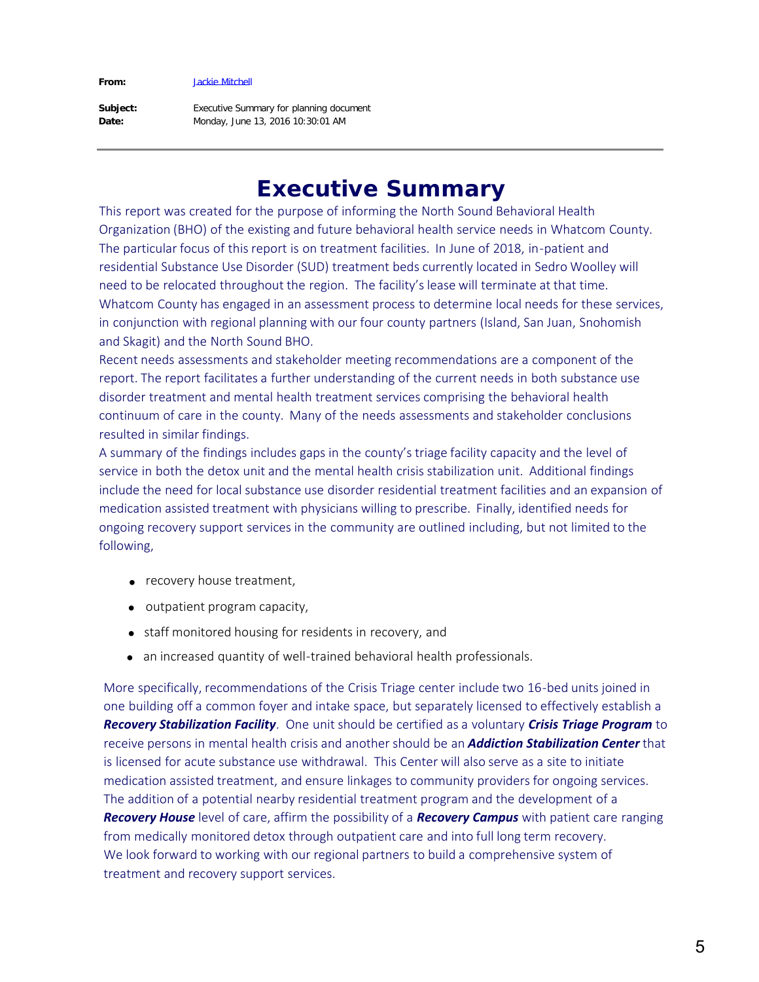#### **From:**

[Jackie Mitchell](mailto:/O=EXCHANGELABS/OU=EXCHANGE ADMINISTRATIVE GROUP (FYDIBOHF23SPDLT)/CN=RECIPIENTS/CN=A425669CEEA44036814729F76C256F17-JACKIE MITCHELL)

**Subject: Date:**

Executive Summary for planning document Monday, June 13, 2016 10:30:01 AM

# **Executive Summary**

This report was created for the purpose of informing the North Sound Behavioral Health Organization (BHO) of the existing and future behavioral health service needs in Whatcom County. The particular focus of this report is on treatment facilities. In June of 2018, in-patient and residential Substance Use Disorder (SUD) treatment beds currently located in Sedro Woolley will need to be relocated throughout the region. The facility's lease will terminate at that time. Whatcom County has engaged in an assessment process to determine local needs for these services, in conjunction with regional planning with our four county partners (Island, San Juan, Snohomish and Skagit) and the North Sound BHO.

Recent needs assessments and stakeholder meeting recommendations are a component of the report. The report facilitates a further understanding of the current needs in both substance use disorder treatment and mental health treatment services comprising the behavioral health continuum of care in the county. Many of the needs assessments and stakeholder conclusions resulted in similar findings.

A summary of the findings includes gaps in the county's triage facility capacity and the level of service in both the detox unit and the mental health crisis stabilization unit. Additional findings include the need for local substance use disorder residential treatment facilities and an expansion of medication assisted treatment with physicians willing to prescribe. Finally, identified needs for ongoing recovery support services in the community are outlined including, but not limited to the following,

- recovery house treatment,
- · outpatient program capacity,
- · staff monitored housing for residents in recovery, and
- an increased quantity of well-trained behavioral health professionals.

More specifically, recommendations of the Crisis Triage center include two 16-bed units joined in one building off a common foyer and intake space, but separately licensed to effectively establish a *Recovery Stabilization Facility.* One unit should be certified as a voluntary *Crisis Triage Program* to receive persons in mental health crisis and another should be an *Addiction Stabilization Center* that is licensed for acute substance use withdrawal. This Center will also serve as a site to initiate medication assisted treatment, and ensure linkages to community providers for ongoing services. The addition of a potential nearby residential treatment program and the development of a *Recovery House* level of care, affirm the possibility of a *Recovery Campus* with patient care ranging from medically monitored detox through outpatient care and into full long term recovery. We look forward to working with our regional partners to build a comprehensive system of treatment and recovery support services.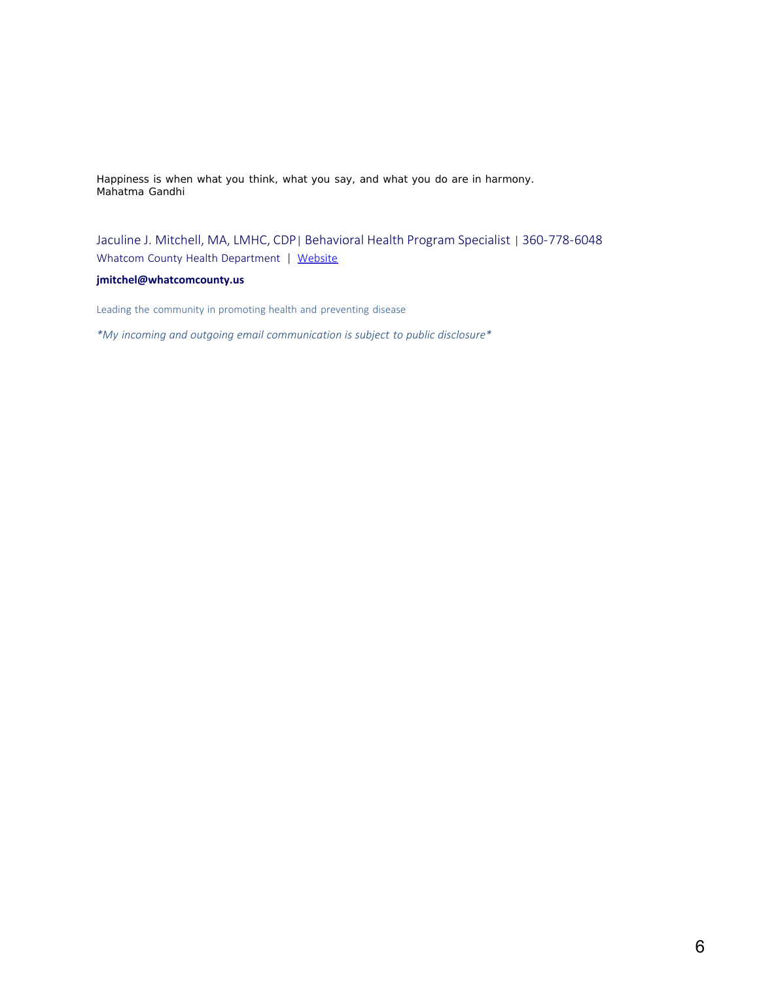Happiness is when what you think, what you say, and what you do are in harmony. *Mahatma Gandhi*

Jaculine J. Mitchell, MA, LMHC, CDP| Behavioral Health Program Specialist | 360-778-6048 Whatcom County Health Department | [Website](http://www.whatcomcounty.us/360/Health-Department)

#### **jmitchel@whatcomcounty.us**

Leading the community in promoting health and preventing disease

*\*My incoming and outgoing email communication is subject to public disclosure\**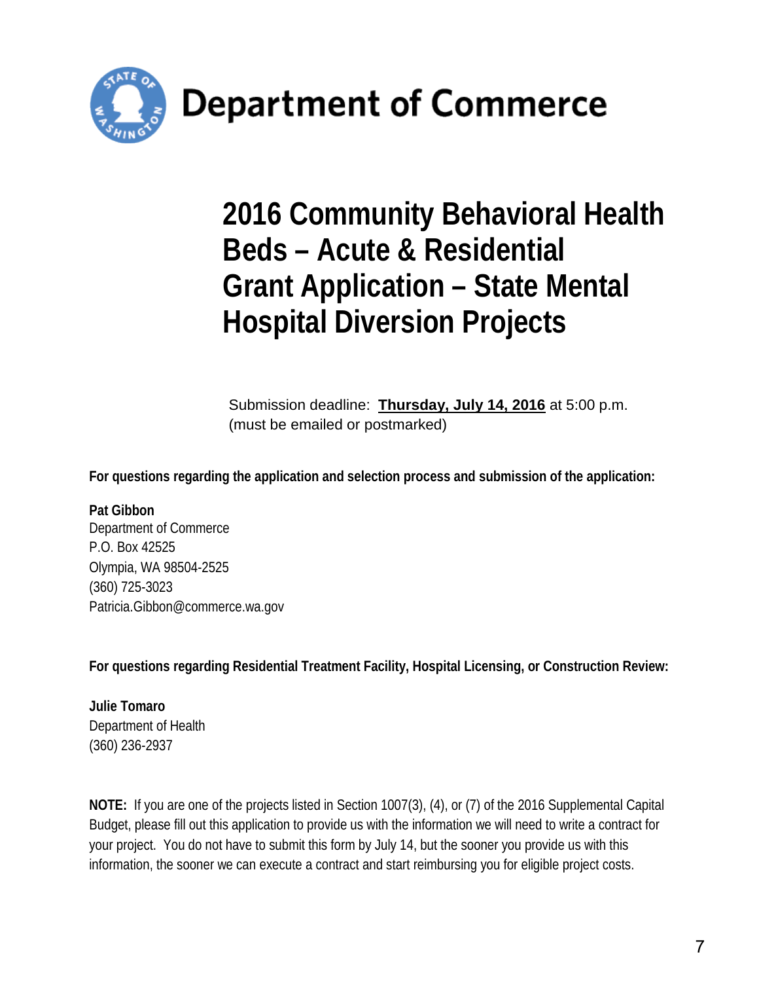

**Department of Commerce** 

# **2016 Community Behavioral Health Beds – Acute & Residential Grant Application – State Mental Hospital Diversion Projects**

Submission deadline: **Thursday, July 14, 2016** at 5:00 p.m. (must be emailed or postmarked)

**For questions regarding the application and selection process and submission of the application:** 

**Pat Gibbon** Department of Commerce P.O. Box 42525 Olympia, WA 98504-2525 (360) 725-3023 [Patricia.Gibbon@commerce.wa.gov](mailto:Patricia.Gibbon@commerce.wa.gov) 

**For questions regarding Residential Treatment Facility, Hospital Licensing, or Construction Review:**

**Julie Tomaro** Department of Health (360) 236-2937

**NOTE:** If you are one of the projects listed in Section 1007(3), (4), or (7) of the 2016 Supplemental Capital Budget, please fill out this application to provide us with the information we will need to write a contract for your project. You do not have to submit this form by July 14, but the sooner you provide us with this information, the sooner we can execute a contract and start reimbursing you for eligible project costs.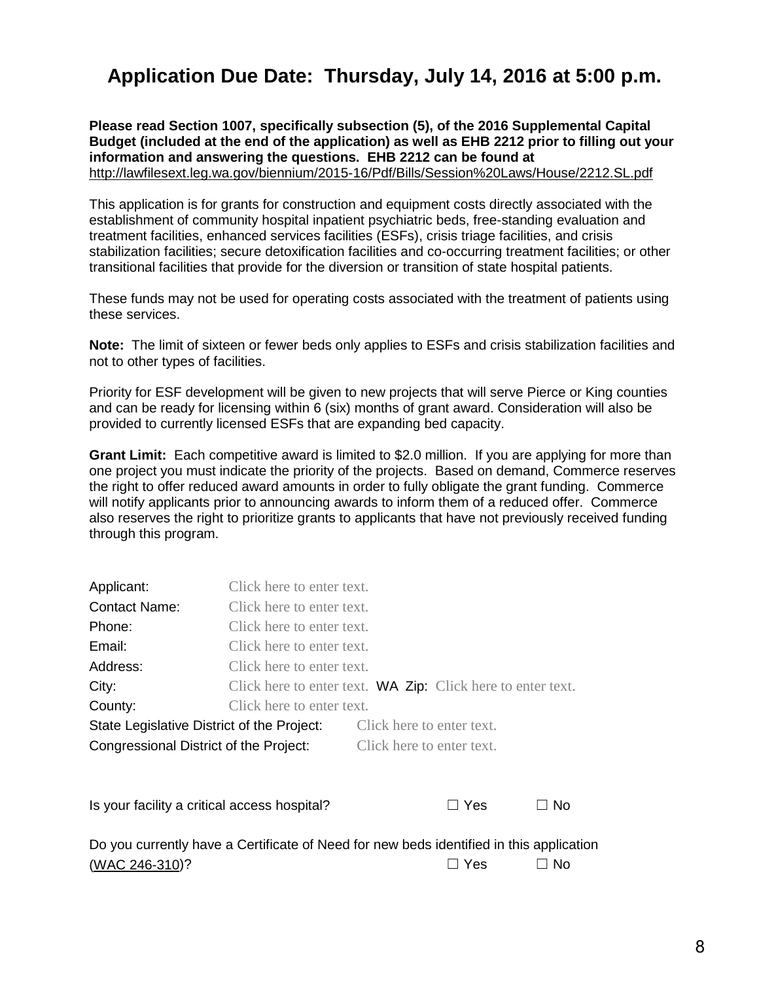# **Application Due Date: Thursday, July 14, 2016 at 5:00 p.m.**

**Please read Section 1007, specifically subsection (5), of the 2016 Supplemental Capital Budget (included at the end of the application) as well as EHB 2212 prior to filling out your information and answering the questions. EHB 2212 can be found at**  <http://lawfilesext.leg.wa.gov/biennium/2015-16/Pdf/Bills/Session%20Laws/House/2212.SL.pdf>

This application is for grants for construction and equipment costs directly associated with the establishment of community hospital inpatient psychiatric beds, free-standing evaluation and treatment facilities, enhanced services facilities (ESFs), crisis triage facilities, and crisis stabilization facilities; secure detoxification facilities and co-occurring treatment facilities; or other transitional facilities that provide for the diversion or transition of state hospital patients.

These funds may not be used for operating costs associated with the treatment of patients using these services.

**Note:** The limit of sixteen or fewer beds only applies to ESFs and crisis stabilization facilities and not to other types of facilities.

Priority for ESF development will be given to new projects that will serve Pierce or King counties and can be ready for licensing within 6 (six) months of grant award. Consideration will also be provided to currently licensed ESFs that are expanding bed capacity.

**Grant Limit:** Each competitive award is limited to \$2.0 million. If you are applying for more than one project you must indicate the priority of the projects. Based on demand, Commerce reserves the right to offer reduced award amounts in order to fully obligate the grant funding. Commerce will notify applicants prior to announcing awards to inform them of a reduced offer. Commerce also reserves the right to prioritize grants to applicants that have not previously received funding through this program.

| Applicant:                                                                              | Click here to enter text.                                          |                           |            |               |
|-----------------------------------------------------------------------------------------|--------------------------------------------------------------------|---------------------------|------------|---------------|
|                                                                                         |                                                                    |                           |            |               |
| <b>Contact Name:</b>                                                                    | Click here to enter text.                                          |                           |            |               |
| Phone:                                                                                  | Click here to enter text.                                          |                           |            |               |
| Email:                                                                                  | Click here to enter text.                                          |                           |            |               |
| Address:                                                                                | Click here to enter text.                                          |                           |            |               |
| City:                                                                                   | Click here to enter text. <b>WA Zip:</b> Click here to enter text. |                           |            |               |
| County:                                                                                 | Click here to enter text.                                          |                           |            |               |
| State Legislative District of the Project:                                              |                                                                    | Click here to enter text. |            |               |
| Congressional District of the Project:                                                  |                                                                    | Click here to enter text. |            |               |
|                                                                                         |                                                                    |                           |            |               |
|                                                                                         |                                                                    |                           |            |               |
| Is your facility a critical access hospital?                                            |                                                                    |                           | $\Box$ Yes | No.<br>$\Box$ |
|                                                                                         |                                                                    |                           |            |               |
| Do you currently have a Certificate of Need for new beds identified in this application |                                                                    |                           |            |               |

[\(WAC 246-310\)](http://apps.leg.wa.gov/wac/default.aspx?cite=246-310)? ☐ Yes ☐ No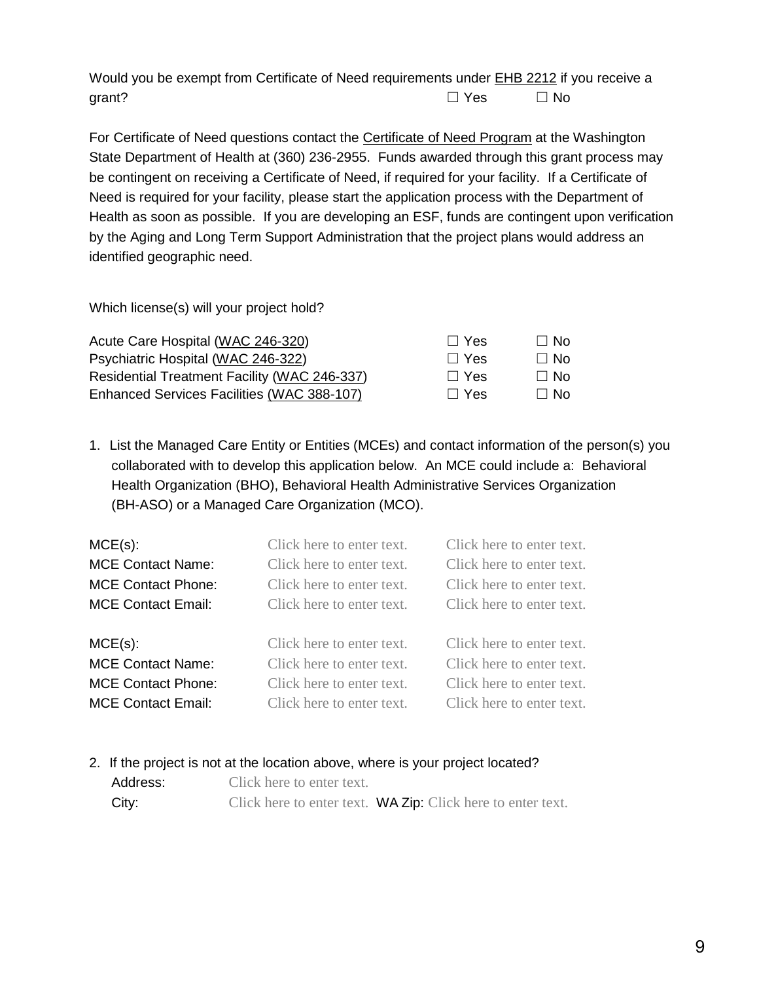Would you be exempt from Certificate of Need requirements under [EHB 2212](http://lawfilesext.leg.wa.gov/biennium/2015-16/Pdf/Bills/Session%20Laws/House/2212.SL.pdf) if you receive a grant?  $\Box$  Yes  $\Box$  No

For Certificate of Need questions contact the [Certificate of Need Program](http://www.doh.wa.gov/LicensesPermitsandCertificates/FacilitiesNewReneworUpdate/CertificateofNeed.aspx) at the Washington State Department of Health at (360) 236-2955. Funds awarded through this grant process may be contingent on receiving a Certificate of Need, if required for your facility. If a Certificate of Need is required for your facility, please start the application process with the Department of Health as soon as possible. If you are developing an ESF, funds are contingent upon verification by the Aging and Long Term Support Administration that the project plans would address an identified geographic need.

Which license(s) will your project hold?

| Acute Care Hospital (WAC 246-320)            | $\Box$ Yes | $\Box$ No |
|----------------------------------------------|------------|-----------|
| Psychiatric Hospital (WAC 246-322)           | $\Box$ Yes | $\Box$ No |
| Residential Treatment Facility (WAC 246-337) | $\Box$ Yes | $\Box$ No |
| Enhanced Services Facilities (WAC 388-107)   | $\Box$ Yes | $\Box$ No |

1. List the Managed Care Entity or Entities (MCEs) and contact information of the person(s) you collaborated with to develop this application below. An MCE could include a: Behavioral Health Organization (BHO), Behavioral Health Administrative Services Organization (BH-ASO) or a Managed Care Organization (MCO).

| $MCE(s)$ :                | Click here to enter text. | Click here to enter text. |
|---------------------------|---------------------------|---------------------------|
| <b>MCE Contact Name:</b>  | Click here to enter text. | Click here to enter text. |
| <b>MCE Contact Phone:</b> | Click here to enter text. | Click here to enter text. |
| <b>MCE Contact Email:</b> | Click here to enter text. | Click here to enter text. |
|                           |                           |                           |
| $MCE(s)$ :                | Click here to enter text. | Click here to enter text. |
| <b>MCE Contact Name:</b>  | Click here to enter text. | Click here to enter text. |
| <b>MCE Contact Phone:</b> | Click here to enter text. | Click here to enter text. |
| <b>MCE Contact Email:</b> | Click here to enter text. | Click here to enter text. |

#### 2. If the project is not at the location above, where is your project located?

| Address: | Click here to enter text. |                                                                    |
|----------|---------------------------|--------------------------------------------------------------------|
| City:    |                           | Click here to enter text. <b>WA Zip:</b> Click here to enter text. |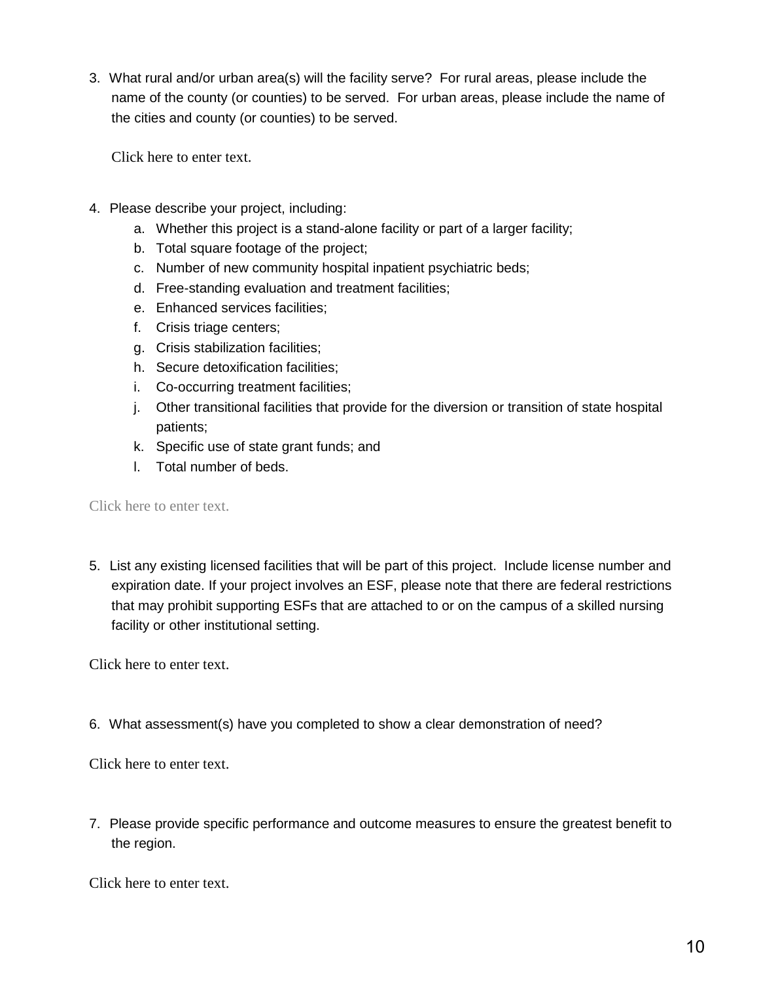3. What rural and/or urban area(s) will the facility serve? For rural areas, please include the name of the county (or counties) to be served. For urban areas, please include the name of the cities and county (or counties) to be served.

Click here to enter text.

- 4. Please describe your project, including:
	- a. Whether this project is a stand-alone facility or part of a larger facility;
	- b. Total square footage of the project;
	- c. Number of new community hospital inpatient psychiatric beds;
	- d. Free-standing evaluation and treatment facilities;
	- e. Enhanced services facilities;
	- f. Crisis triage centers;
	- g. Crisis stabilization facilities;
	- h. Secure detoxification facilities;
	- i. Co-occurring treatment facilities;
	- j. Other transitional facilities that provide for the diversion or transition of state hospital patients;
	- k. Specific use of state grant funds; and
	- l. Total number of beds.

Click here to enter text.

5. List any existing licensed facilities that will be part of this project. Include license number and expiration date. If your project involves an ESF, please note that there are federal restrictions that may prohibit supporting ESFs that are attached to or on the campus of a skilled nursing facility or other institutional setting.

Click here to enter text.

6. What assessment(s) have you completed to show a clear demonstration of need?

Click here to enter text.

7. Please provide specific performance and outcome measures to ensure the greatest benefit to the region.

Click here to enter text.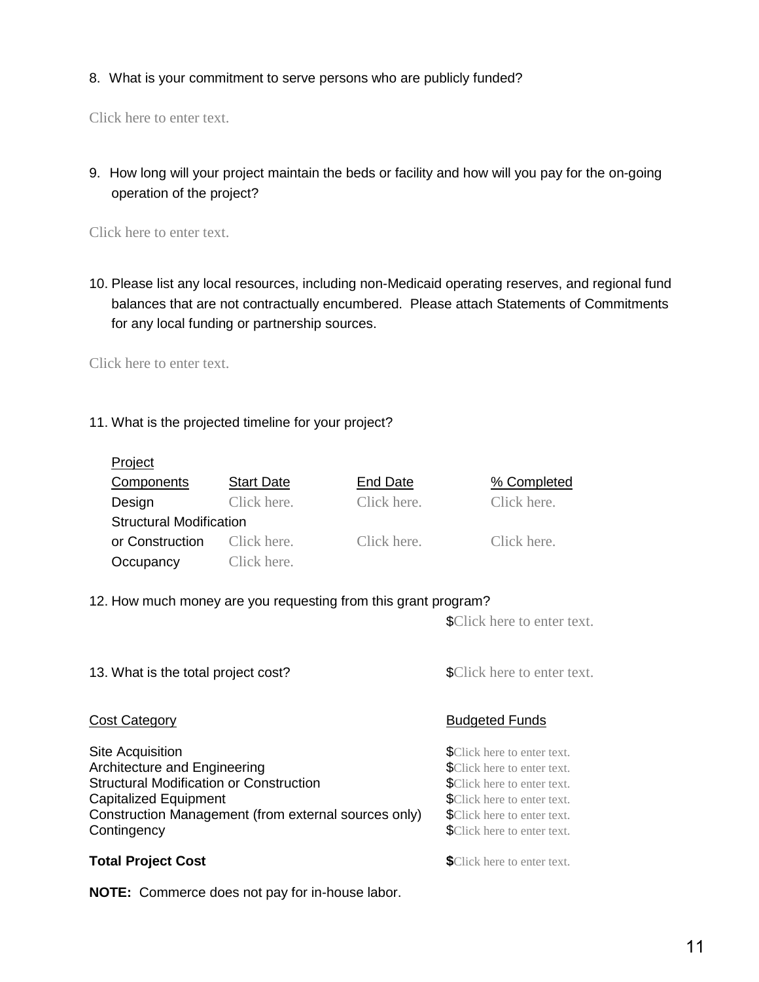8. What is your commitment to serve persons who are publicly funded?

Click here to enter text.

9. How long will your project maintain the beds or facility and how will you pay for the on-going operation of the project?

Click here to enter text.

10. Please list any local resources, including non-Medicaid operating reserves, and regional fund balances that are not contractually encumbered. Please attach Statements of Commitments for any local funding or partnership sources.

Click here to enter text.

11. What is the projected timeline for your project?

| Project                        |                   |             |             |
|--------------------------------|-------------------|-------------|-------------|
| Components                     | <b>Start Date</b> | End Date    | % Completed |
| Design                         | Click here.       | Click here. | Click here. |
| <b>Structural Modification</b> |                   |             |             |
| or Construction                | Click here.       | Click here. | Click here. |
| Occupancy                      | Click here.       |             |             |

12. How much money are you requesting from this grant program?

\$Click here to enter text.

13. What is the total project cost?<br> **13.** What is the total project cost?

Site Acquisition  $\bullet$  SClick here to enter text. Architecture and Engineering **Exercise 2018** SClick here to enter text. **Structural Modification or Construction 1997 SCLICK** here to enter text. Capitalized Equipment  $\bullet$  SClick here to enter text. Construction Management (from external sources only) \$Click here to enter text. **Contingency 6. The Contingency 3. The Contingency 3. The Contingency 3. The Contingency 3. The Contingency 3. The Contingency 3. The Contingency 3. The Contingency 3. The Contingency 3. The Contingency** 

**NOTE:** Commerce does not pay for in-house labor.

### **Cost Category Budgeted Funds**

**Total Project Cost 6. In the Solution of the Solution SCIICK here to enter text.**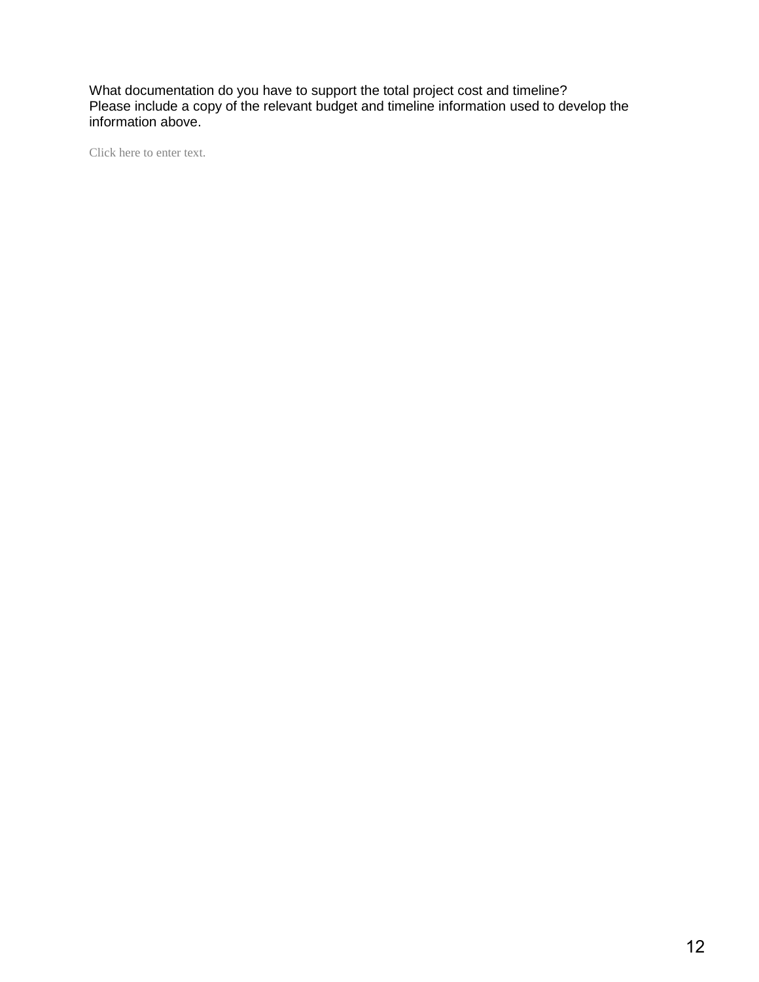What documentation do you have to support the total project cost and timeline? Please include a copy of the relevant budget and timeline information used to develop the information above.

Click here to enter text.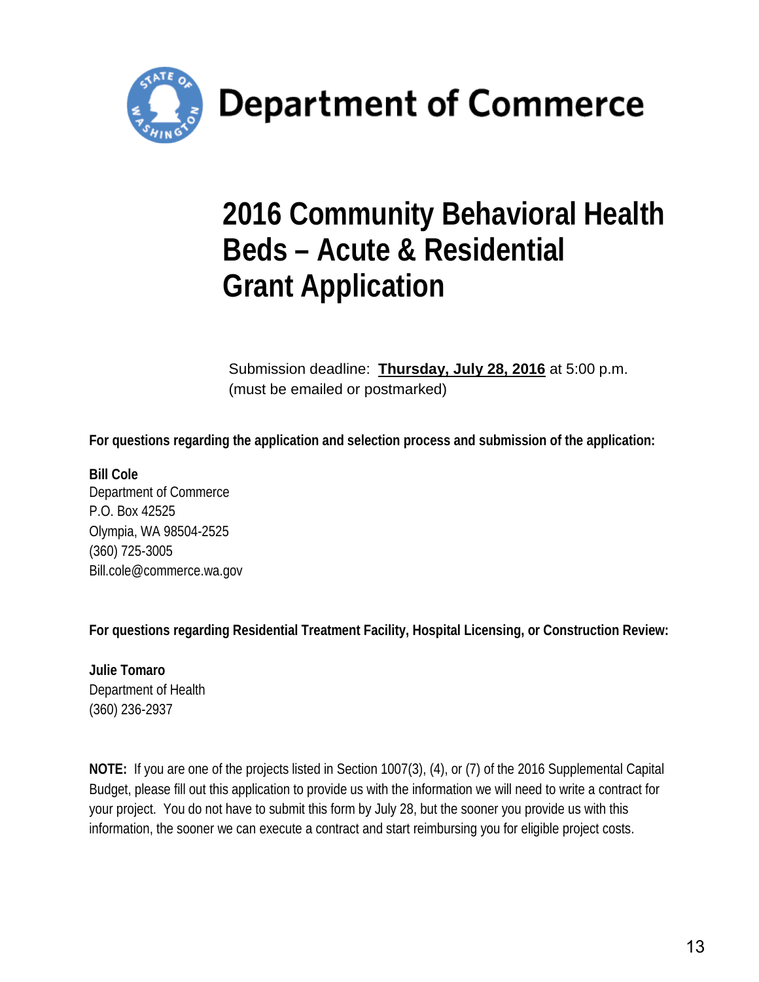

# **2016 Community Behavioral Health Beds – Acute & Residential Grant Application**

Submission deadline: **Thursday, July 28, 2016** at 5:00 p.m. (must be emailed or postmarked)

**For questions regarding the application and selection process and submission of the application:** 

**Bill Cole** Department of Commerce P.O. Box 42525 Olympia, WA 98504-2525 (360) 725-3005 [Bill.cole@commerce.wa.gov](mailto:Bill.cole@commerce.wa.gov) 

**For questions regarding Residential Treatment Facility, Hospital Licensing, or Construction Review:**

**Julie Tomaro** Department of Health (360) 236-2937

**NOTE:** If you are one of the projects listed in Section 1007(3), (4), or (7) of the 2016 Supplemental Capital Budget, please fill out this application to provide us with the information we will need to write a contract for your project. You do not have to submit this form by July 28, but the sooner you provide us with this information, the sooner we can execute a contract and start reimbursing you for eligible project costs.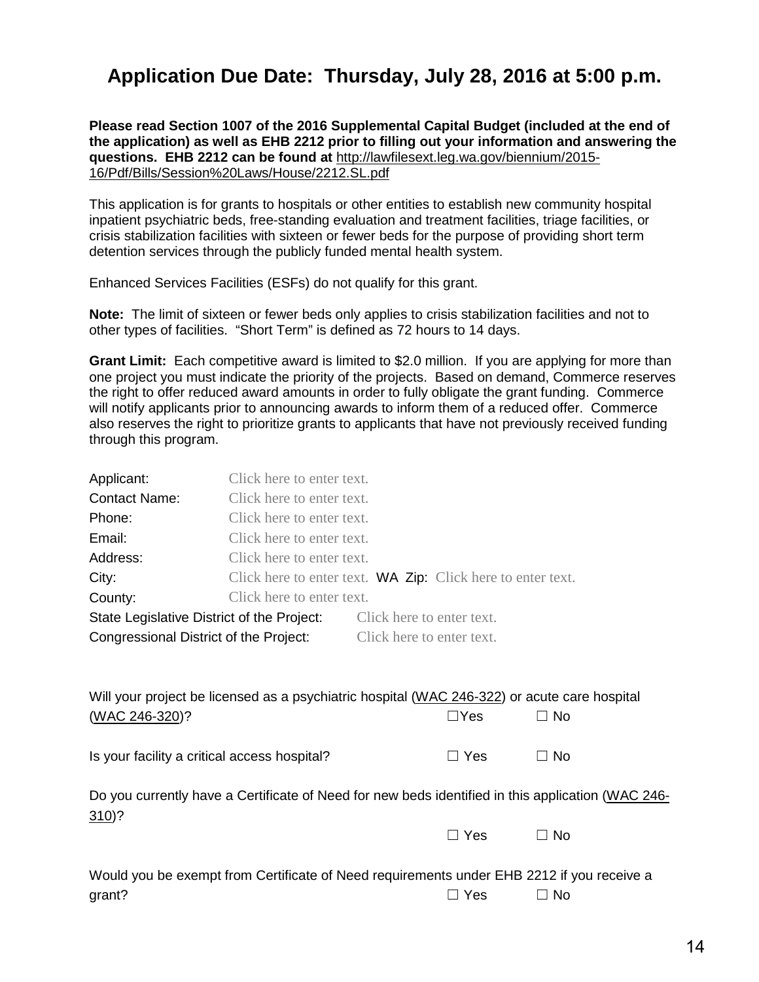# **Application Due Date: Thursday, July 28, 2016 at 5:00 p.m.**

**Please read Section 1007 of the 2016 Supplemental Capital Budget (included at the end of the application) as well as EHB 2212 prior to filling out your information and answering the questions. EHB 2212 can be found at** [http://lawfilesext.leg.wa.gov/biennium/2015-](http://lawfilesext.leg.wa.gov/biennium/2015-16/Pdf/Bills/Session%20Laws/House/2212.SL.pdf) [16/Pdf/Bills/Session%20Laws/House/2212.SL.pdf](http://lawfilesext.leg.wa.gov/biennium/2015-16/Pdf/Bills/Session%20Laws/House/2212.SL.pdf)

This application is for grants to hospitals or other entities to establish new community hospital inpatient psychiatric beds, free-standing evaluation and treatment facilities, triage facilities, or crisis stabilization facilities with sixteen or fewer beds for the purpose of providing short term detention services through the publicly funded mental health system.

Enhanced Services Facilities (ESFs) do not qualify for this grant.

**Note:** The limit of sixteen or fewer beds only applies to crisis stabilization facilities and not to other types of facilities. "Short Term" is defined as 72 hours to 14 days.

**Grant Limit:** Each competitive award is limited to \$2.0 million. If you are applying for more than one project you must indicate the priority of the projects. Based on demand, Commerce reserves the right to offer reduced award amounts in order to fully obligate the grant funding. Commerce will notify applicants prior to announcing awards to inform them of a reduced offer. Commerce also reserves the right to prioritize grants to applicants that have not previously received funding through this program.

| Applicant:                                 | Click here to enter text. |                           |                                                                    |
|--------------------------------------------|---------------------------|---------------------------|--------------------------------------------------------------------|
| <b>Contact Name:</b>                       | Click here to enter text. |                           |                                                                    |
| Phone:                                     | Click here to enter text. |                           |                                                                    |
| Email:                                     | Click here to enter text. |                           |                                                                    |
| Address:                                   | Click here to enter text. |                           |                                                                    |
| City:                                      |                           |                           | Click here to enter text. <b>WA Zip:</b> Click here to enter text. |
| County:                                    | Click here to enter text. |                           |                                                                    |
| State Legislative District of the Project: |                           | Click here to enter text. |                                                                    |
| Congressional District of the Project:     |                           | Click here to enter text. |                                                                    |

| Will your project be licensed as a psychiatric hospital (WAC 246-322) or acute care hospital |            |      |  |
|----------------------------------------------------------------------------------------------|------------|------|--|
| (WAC 246-320)?                                                                               | $\Box$ Yes | ⊟ No |  |
|                                                                                              |            |      |  |

Is your facility a critical access hospital?  $□$  Yes  $□$  No

| Do you currently have a Certificate of Need for new beds identified in this application (WAC 246- |  |  |  |
|---------------------------------------------------------------------------------------------------|--|--|--|
| $310$ ?                                                                                           |  |  |  |

| Would you be exempt from Certificate of Need requirements under EHB 2212 if you receive a |            |      |
|-------------------------------------------------------------------------------------------|------------|------|
| grant?                                                                                    | $\Box$ Yes | ⊟ No |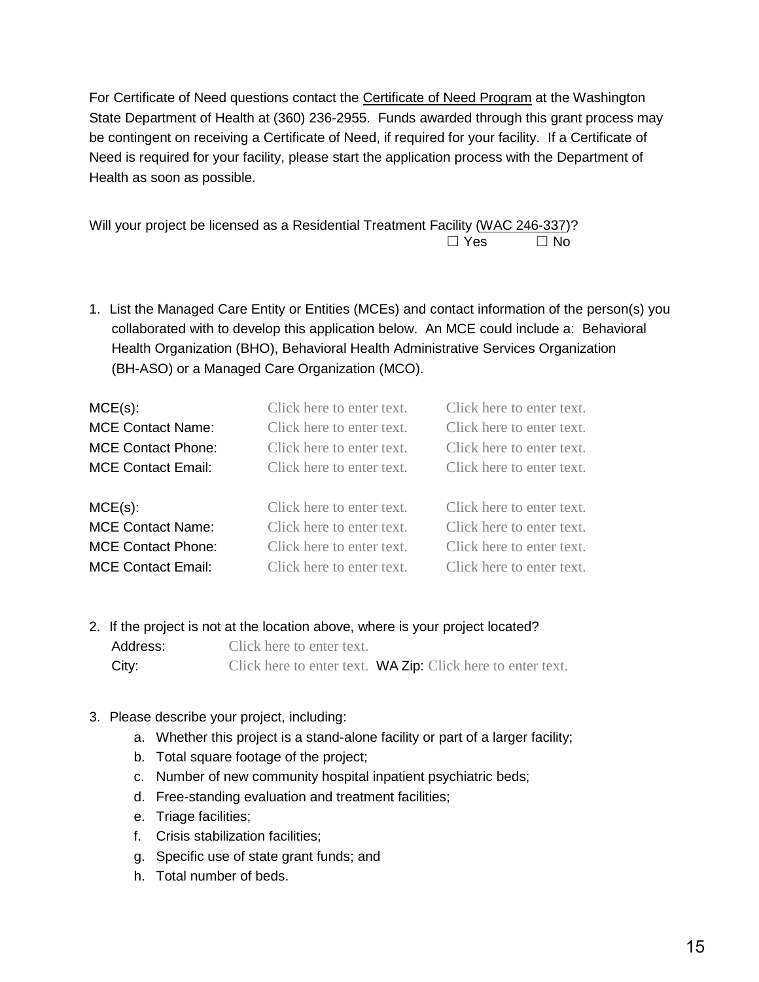For Certificate of Need questions contact the [Certificate of Need Program](http://www.doh.wa.gov/LicensesPermitsandCertificates/FacilitiesNewReneworUpdate/CertificateofNeed.aspx) at the Washington State Department of Health at (360) 236-2955. Funds awarded through this grant process may be contingent on receiving a Certificate of Need, if required for your facility. If a Certificate of Need is required for your facility, please start the application process with the Department of Health as soon as possible.

Will your project be licensed as a Residential Treatment Facility [\(WAC 246-337\)](http://apps.leg.wa.gov/wac/default.aspx?cite=246-337)?  $\Box$  Yes  $\Box$  No

1. List the Managed Care Entity or Entities (MCEs) and contact information of the person(s) you collaborated with to develop this application below. An MCE could include a: Behavioral Health Organization (BHO), Behavioral Health Administrative Services Organization (BH-ASO) or a Managed Care Organization (MCO).

| $MCE(s)$ :                | Click here to enter text. | Click here to enter text. |
|---------------------------|---------------------------|---------------------------|
| <b>MCE Contact Name:</b>  | Click here to enter text. | Click here to enter text. |
| <b>MCE Contact Phone:</b> | Click here to enter text. | Click here to enter text. |
| <b>MCE Contact Email:</b> | Click here to enter text. | Click here to enter text. |
| $MCE(s)$ :                | Click here to enter text. | Click here to enter text. |
| <b>MCE Contact Name:</b>  | Click here to enter text. | Click here to enter text. |
| <b>MCE Contact Phone:</b> | Click here to enter text. | Click here to enter text. |
| <b>MCE Contact Email:</b> | Click here to enter text. | Click here to enter text. |

- 2. If the project is not at the location above, where is your project located?
	- Address: Click here to enter text. City: Click here to enter text. WA Zip: Click here to enter text.
- 3. Please describe your project, including:
	- a. Whether this project is a stand-alone facility or part of a larger facility;
	- b. Total square footage of the project;
	- c. Number of new community hospital inpatient psychiatric beds;
	- d. Free-standing evaluation and treatment facilities;
	- e. Triage facilities;
	- f. Crisis stabilization facilities;
	- g. Specific use of state grant funds; and
	- h. Total number of beds.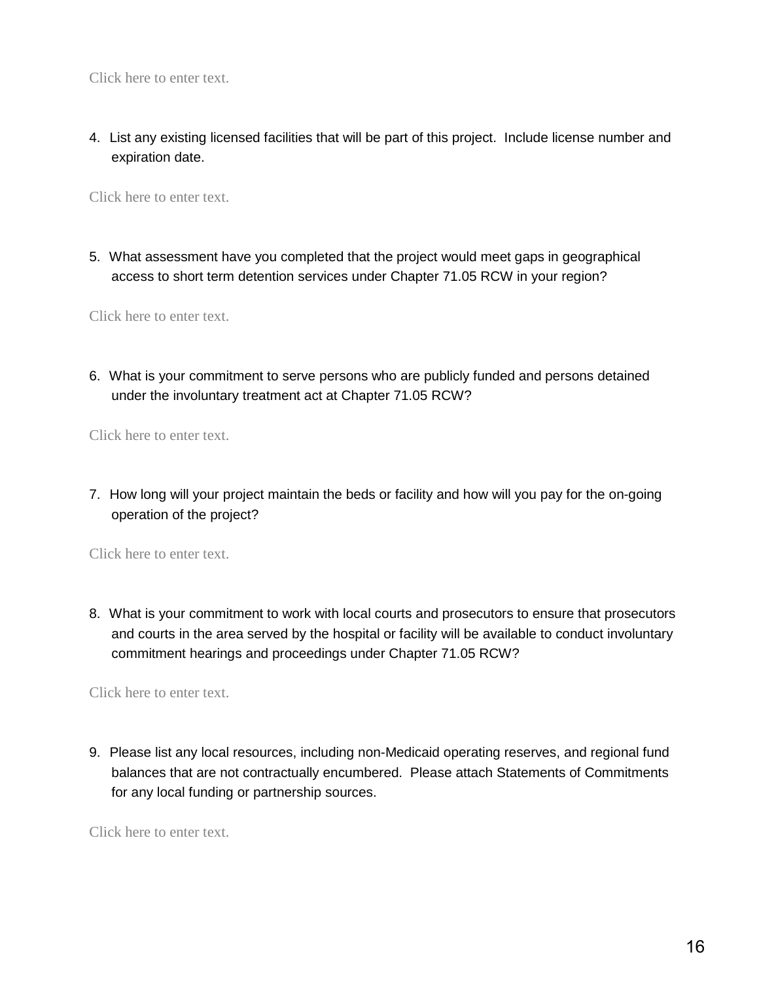Click here to enter text.

4. List any existing licensed facilities that will be part of this project. Include license number and expiration date.

Click here to enter text.

5. What assessment have you completed that the project would meet gaps in geographical access to short term detention services under Chapter 71.05 RCW in your region?

Click here to enter text.

6. What is your commitment to serve persons who are publicly funded and persons detained under the involuntary treatment act at Chapter 71.05 RCW?

Click here to enter text.

7. How long will your project maintain the beds or facility and how will you pay for the on-going operation of the project?

Click here to enter text.

8. What is your commitment to work with local courts and prosecutors to ensure that prosecutors and courts in the area served by the hospital or facility will be available to conduct involuntary commitment hearings and proceedings under Chapter 71.05 RCW?

Click here to enter text.

9. Please list any local resources, including non-Medicaid operating reserves, and regional fund balances that are not contractually encumbered. Please attach Statements of Commitments for any local funding or partnership sources.

Click here to enter text.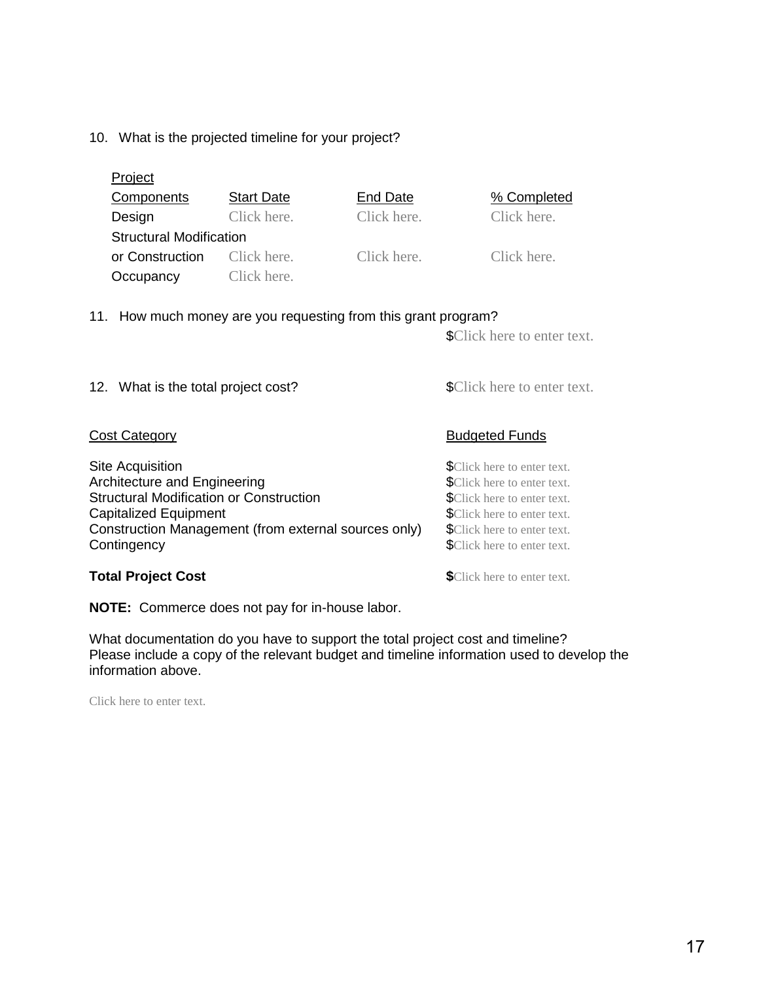#### 10. What is the projected timeline for your project?

| <b>Project</b>                                   |                   |             |                                                                            |
|--------------------------------------------------|-------------------|-------------|----------------------------------------------------------------------------|
| Components                                       | <b>Start Date</b> | End Date    | % Completed                                                                |
| Design                                           | Click here.       | Click here. | Click here.                                                                |
| <b>Structural Modification</b>                   |                   |             |                                                                            |
| or Construction                                  | Click here.       | Click here. | Click here.                                                                |
| Occupancy                                        | Click here.       |             |                                                                            |
| 12. What is the total project cost?              |                   |             | <b>\$Click here to enter text.</b><br><b>\$Click here to enter text.</b>   |
| Cost Category                                    |                   |             | <b>Budgeted Funds</b>                                                      |
| Site Acquisition<br>Architecture and Engineering |                   |             | <b>\$</b> Click here to enter text.<br><b>\$</b> Click here to enter text. |

Structural Modification or Construction **Example 2018** SClick here to enter text. Capitalized Equipment<br>Construction Management (from external sources only) \$Click here to enter text. Construction Management (from external sources only) Contingency **SCLICK here to enter text.** 

**NOTE:** Commerce does not pay for in-house labor.

What documentation do you have to support the total project cost and timeline? Please include a copy of the relevant budget and timeline information used to develop the information above.

Click here to enter text.

**Total Project Cost SCLICK here to enter text.**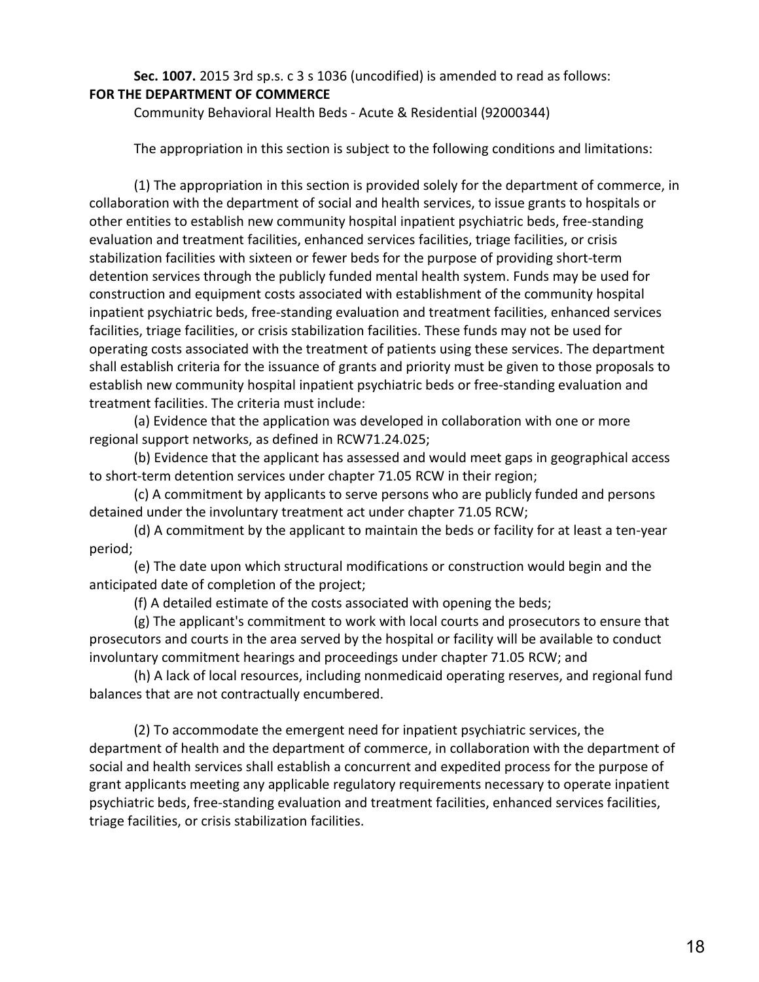#### **Sec. 1007.** 2015 3rd sp.s. c 3 s 1036 (uncodified) is amended to read as follows: **FOR THE DEPARTMENT OF COMMERCE**

Community Behavioral Health Beds - Acute & Residential (92000344)

The appropriation in this section is subject to the following conditions and limitations:

(1) The appropriation in this section is provided solely for the department of commerce, in collaboration with the department of social and health services, to issue grants to hospitals or other entities to establish new community hospital inpatient psychiatric beds, free-standing evaluation and treatment facilities, enhanced services facilities, triage facilities, or crisis stabilization facilities with sixteen or fewer beds for the purpose of providing short-term detention services through the publicly funded mental health system. Funds may be used for construction and equipment costs associated with establishment of the community hospital inpatient psychiatric beds, free-standing evaluation and treatment facilities, enhanced services facilities, triage facilities, or crisis stabilization facilities. These funds may not be used for operating costs associated with the treatment of patients using these services. The department shall establish criteria for the issuance of grants and priority must be given to those proposals to establish new community hospital inpatient psychiatric beds or free-standing evaluation and treatment facilities. The criteria must include:

(a) Evidence that the application was developed in collaboration with one or more regional support networks, as defined in RCW71.24.025;

(b) Evidence that the applicant has assessed and would meet gaps in geographical access to short-term detention services under chapter 71.05 RCW in their region;

(c) A commitment by applicants to serve persons who are publicly funded and persons detained under the involuntary treatment act under chapter 71.05 RCW;

(d) A commitment by the applicant to maintain the beds or facility for at least a ten-year period;

(e) The date upon which structural modifications or construction would begin and the anticipated date of completion of the project;

(f) A detailed estimate of the costs associated with opening the beds;

(g) The applicant's commitment to work with local courts and prosecutors to ensure that prosecutors and courts in the area served by the hospital or facility will be available to conduct involuntary commitment hearings and proceedings under chapter 71.05 RCW; and

(h) A lack of local resources, including nonmedicaid operating reserves, and regional fund balances that are not contractually encumbered.

(2) To accommodate the emergent need for inpatient psychiatric services, the department of health and the department of commerce, in collaboration with the department of social and health services shall establish a concurrent and expedited process for the purpose of grant applicants meeting any applicable regulatory requirements necessary to operate inpatient psychiatric beds, free-standing evaluation and treatment facilities, enhanced services facilities, triage facilities, or crisis stabilization facilities.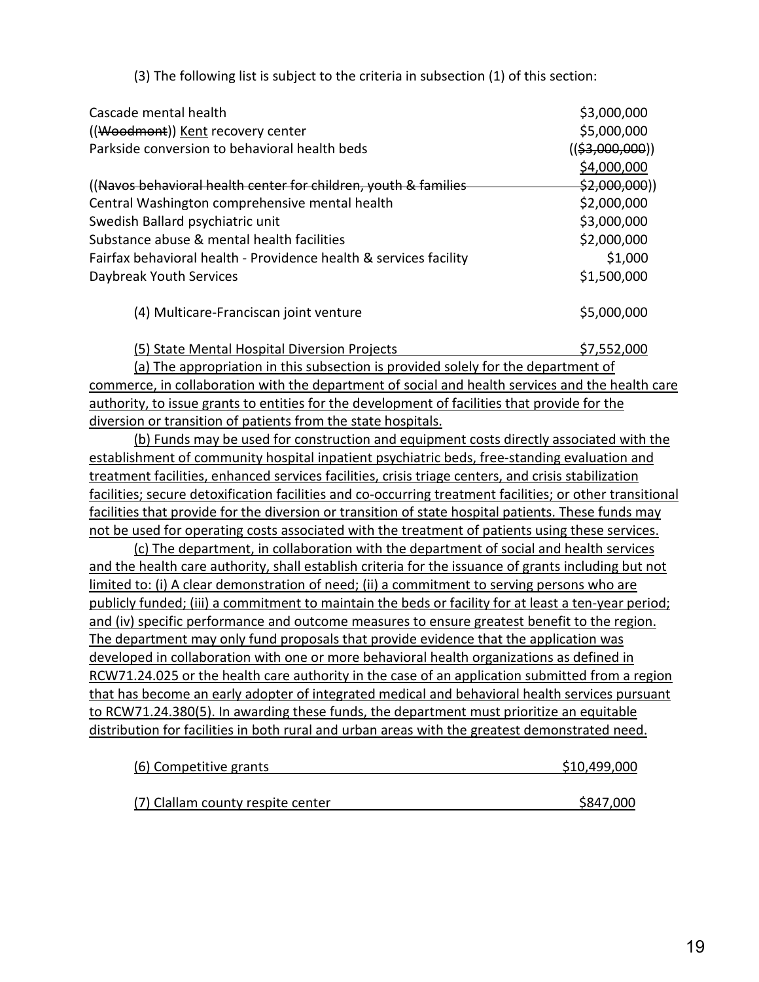(3) The following list is subject to the criteria in subsection (1) of this section:

| Cascade mental health                                             | \$3,000,000               |
|-------------------------------------------------------------------|---------------------------|
| ((Woodmont)) Kent recovery center                                 | \$5,000,000               |
| Parkside conversion to behavioral health beds                     | <u>((\$3,000,000))</u>    |
|                                                                   | \$4,000,000               |
| (Navos behavioral health center for children, youth & families    | <del>\$2,000,000</del> )) |
| Central Washington comprehensive mental health                    | \$2,000,000               |
| Swedish Ballard psychiatric unit                                  | \$3,000,000               |
| Substance abuse & mental health facilities                        | \$2,000,000               |
| Fairfax behavioral health - Providence health & services facility | \$1,000                   |
| Daybreak Youth Services                                           | \$1,500,000               |
| (4) Multicare-Franciscan joint venture                            | \$5,000,000               |

(5) State Mental Hospital Diversion Projects  $$7,552,000$ 

(a) The appropriation in this subsection is provided solely for the department of commerce, in collaboration with the department of social and health services and the health care authority, to issue grants to entities for the development of facilities that provide for the diversion or transition of patients from the state hospitals.

(b) Funds may be used for construction and equipment costs directly associated with the establishment of community hospital inpatient psychiatric beds, free-standing evaluation and treatment facilities, enhanced services facilities, crisis triage centers, and crisis stabilization facilities; secure detoxification facilities and co-occurring treatment facilities; or other transitional facilities that provide for the diversion or transition of state hospital patients. These funds may not be used for operating costs associated with the treatment of patients using these services.

(c) The department, in collaboration with the department of social and health services and the health care authority, shall establish criteria for the issuance of grants including but not limited to: (i) A clear demonstration of need; (ii) a commitment to serving persons who are publicly funded; (iii) a commitment to maintain the beds or facility for at least a ten-year period; and (iv) specific performance and outcome measures to ensure greatest benefit to the region. The department may only fund proposals that provide evidence that the application was developed in collaboration with one or more behavioral health organizations as defined in RCW71.24.025 or the health care authority in the case of an application submitted from a region that has become an early adopter of integrated medical and behavioral health services pursuant to RCW71.24.380(5). In awarding these funds, the department must prioritize an equitable distribution for facilities in both rural and urban areas with the greatest demonstrated need.

| (6) Competitive grants            | \$10,499,000 |
|-----------------------------------|--------------|
|                                   |              |
| (7) Clallam county respite center | \$847,000    |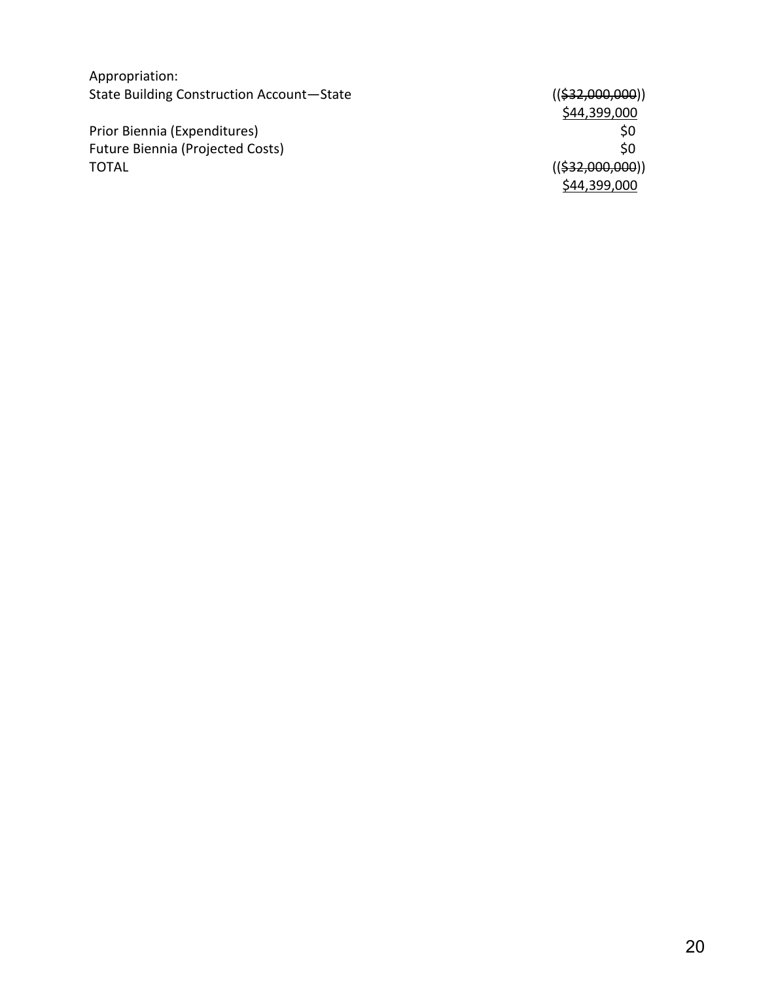Appropriation: State Building Construction Account

Prior Biennia (Expenditures)<br>
Future Biennia (Projected Costs)<br>
\$0 Future Biennia (Projected Costs)<br>TOTAL

 $(($32,000,000))$ \$44,399,000<br>\$0  $(($32,000,000))$ \$44,399,000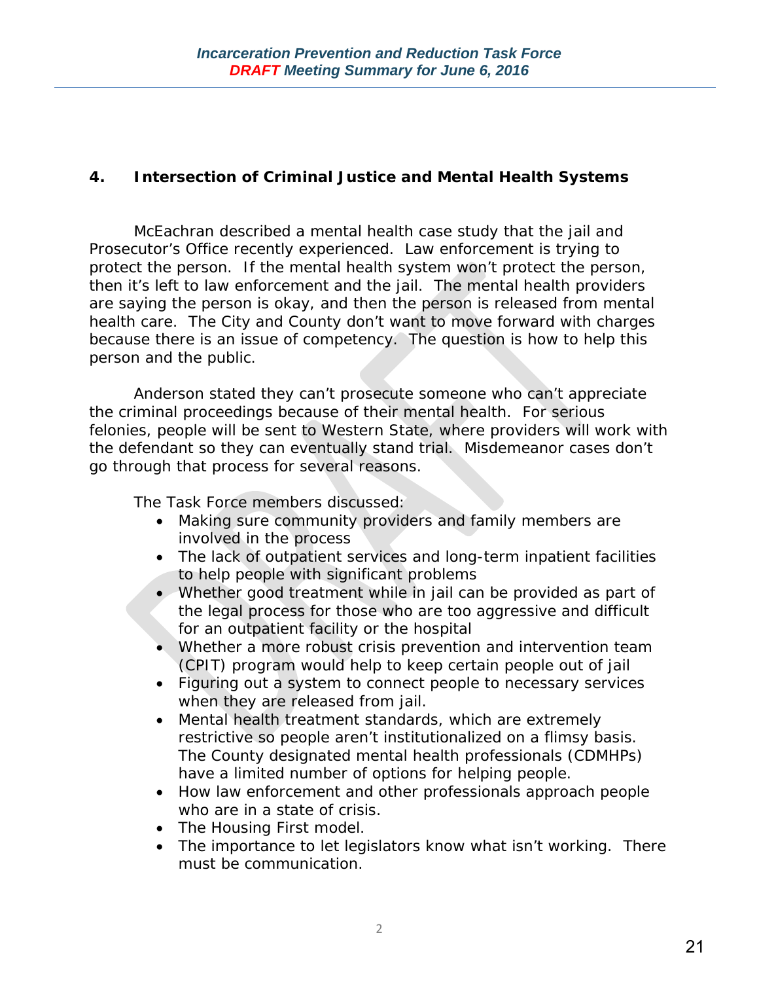## **4. Intersection of Criminal Justice and Mental Health Systems**

McEachran described a mental health case study that the jail and Prosecutor's Office recently experienced. Law enforcement is trying to protect the person. If the mental health system won't protect the person, then it's left to law enforcement and the jail. The mental health providers are saying the person is okay, and then the person is released from mental health care. The City and County don't want to move forward with charges because there is an issue of competency. The question is how to help this person and the public.

Anderson stated they can't prosecute someone who can't appreciate the criminal proceedings because of their mental health. For serious felonies, people will be sent to Western State, where providers will work with the defendant so they can eventually stand trial. Misdemeanor cases don't go through that process for several reasons.

The Task Force members discussed:

- Making sure community providers and family members are involved in the process
- The lack of outpatient services and long-term inpatient facilities to help people with significant problems
- Whether good treatment while in jail can be provided as part of the legal process for those who are too aggressive and difficult for an outpatient facility or the hospital
- Whether a more robust crisis prevention and intervention team (CPIT) program would help to keep certain people out of jail
- Figuring out a system to connect people to necessary services when they are released from jail.
- Mental health treatment standards, which are extremely restrictive so people aren't institutionalized on a flimsy basis. The County designated mental health professionals (CDMHPs) have a limited number of options for helping people.
- How law enforcement and other professionals approach people who are in a state of crisis.
- The Housing First model.
- The importance to let legislators know what isn't working. There must be communication.